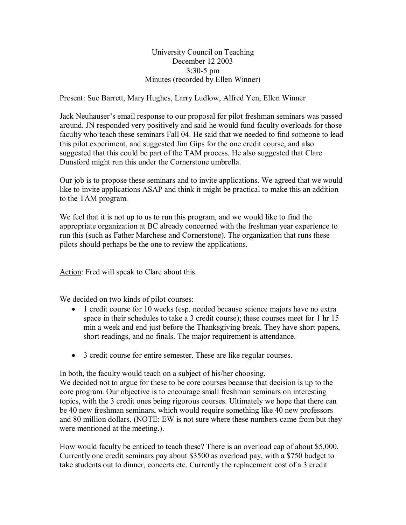University Council on Teaching December 12 2003  $3:30-5$  pm Minutes (recorded by Ellen Winner)

Present: Sue Barrett, Mary Hughes, Larry Ludlow, Alfred Yen, Ellen Winner

Jack Neuhauser's email response to our proposal for pilot freshman seminars was passed around. JN responded very positively and said he would fund faculty overloads for those faculty who teach these seminars Fall 04. He said that we needed to find someone to lead this pilot experiment, and suggested Jim Gips for the one credit course, and also suggested that this could be part of the TAM process. He also suggested that Clare Dunsford might run this under the Cornerstone umbrella.

Our job is to propose these seminars and to invite applications. We agreed that we would like to invite applications ASAP and think it might be practical to make this an addition to the TAM program.

We feel that it is not up to us to run this program, and we would like to find the appropriate organization at BC already concerned with the freshman year experience to run this (such as Father Marchese and Cornerstone). The organization that runs these pilots should perhaps be the one to review the applications.

Action: Fred will speak to Clare about this.

We decided on two kinds of pilot courses:

- · 1 credit course for 10 weeks (esp. needed because science majors have no extra space in their schedules to take a 3 credit course); these courses meet for 1 hr 15 min a week and end just before the Thanksgiving break. They have short papers, short readings, and no finals. The major requirement is attendance.
- · 3 credit course for entire semester. These are like regular courses.

In both, the faculty would teach on a subject of his/her choosing.

We decided not to argue for these to be core courses because that decision is up to the core program. Our objective is to encourage small freshman seminars on interesting topics, with the 3 credit ones being rigorous courses. Ultimately we hope that there can be 40 new freshman seminars, which would require something like 40 new professors and 80 million dollars. (NOTE: EW is not sure where these numbers came from but they were mentioned at the meeting.).

How would faculty be enticed to teach these? There is an overload cap of about \$5,000. Currently one credit seminars pay about \$3500 as overload pay, with a \$750 budget to take students out to dinner, concerts etc. Currently the replacement cost of a 3 credit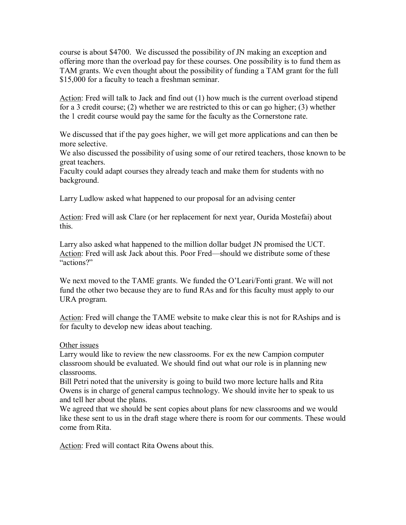course is about \$4700. We discussed the possibility of JN making an exception and offering more than the overload pay for these courses. One possibility is to fund them as TAM grants. We even thought about the possibility of funding a TAM grant for the full \$15,000 for a faculty to teach a freshman seminar.

Action: Fred will talk to Jack and find out (1) how much is the current overload stipend for a 3 credit course; (2) whether we are restricted to this or can go higher; (3) whether the 1 credit course would pay the same for the faculty as the Cornerstone rate.

We discussed that if the pay goes higher, we will get more applications and can then be more selective.

We also discussed the possibility of using some of our retired teachers, those known to be great teachers.

Faculty could adapt courses they already teach and make them for students with no background.

Larry Ludlow asked what happened to our proposal for an advising center

Action: Fred will ask Clare (or her replacement for next year, Ourida Mostefai) about this.

Larry also asked what happened to the million dollar budget JN promised the UCT. Action: Fred will ask Jack about this. Poor Fred—should we distribute some of these "actions?"

We next moved to the TAME grants. We funded the O'Leari/Fonti grant. We will not fund the other two because they are to fund RAs and for this faculty must apply to our URA program.

Action: Fred will change the TAME website to make clear this is not for RAships and is for faculty to develop new ideas about teaching.

## Other issues

Larry would like to review the new classrooms. For ex the new Campion computer classroom should be evaluated. We should find out what our role is in planning new classrooms.

Bill Petri noted that the university is going to build two more lecture halls and Rita Owens is in charge of general campus technology. We should invite her to speak to us and tell her about the plans.

We agreed that we should be sent copies about plans for new classrooms and we would like these sent to us in the draft stage where there is room for our comments. These would come from Rita.

Action: Fred will contact Rita Owens about this.